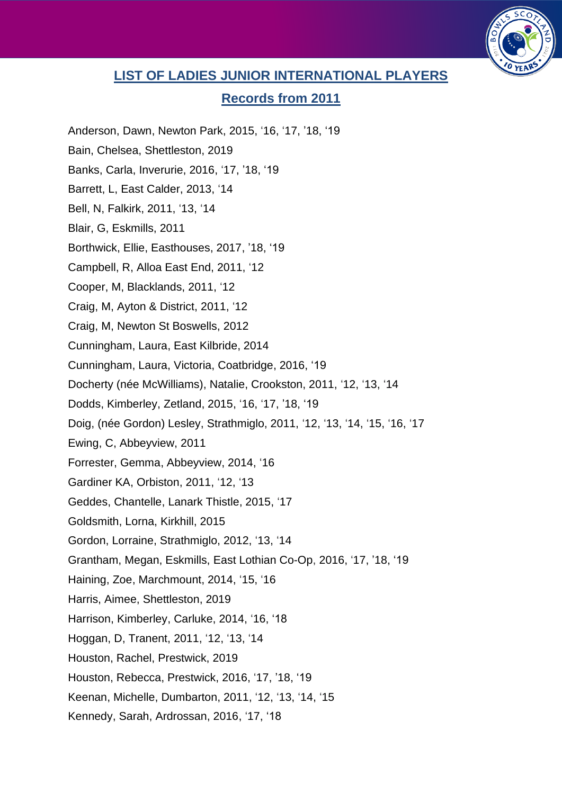

## **LIST OF LADIES JUNIOR INTERNATIONAL PLAYERS**

## **Records from 2011**

- Anderson, Dawn, Newton Park, 2015, '16, '17, '18, '19
- Bain, Chelsea, Shettleston, 2019
- Banks, Carla, Inverurie, 2016, '17, '18, '19
- Barrett, L, East Calder, 2013, '14
- Bell, N, Falkirk, 2011, '13, '14
- Blair, G, Eskmills, 2011
- Borthwick, Ellie, Easthouses, 2017, '18, '19
- Campbell, R, Alloa East End, 2011, '12
- Cooper, M, Blacklands, 2011, '12
- Craig, M, Ayton & District, 2011, '12
- Craig, M, Newton St Boswells, 2012
- Cunningham, Laura, East Kilbride, 2014
- Cunningham, Laura, Victoria, Coatbridge, 2016, '19
- Docherty (née McWilliams), Natalie, Crookston, 2011, '12, '13, '14
- Dodds, Kimberley, Zetland, 2015, '16, '17, '18, '19
- Doig, (née Gordon) Lesley, Strathmiglo, 2011, '12, '13, '14, '15, '16, '17
- Ewing, C, Abbeyview, 2011
- Forrester, Gemma, Abbeyview, 2014, '16
- Gardiner KA, Orbiston, 2011, '12, '13
- Geddes, Chantelle, Lanark Thistle, 2015, '17
- Goldsmith, Lorna, Kirkhill, 2015
- Gordon, Lorraine, Strathmiglo, 2012, '13, '14
- Grantham, Megan, Eskmills, East Lothian Co-Op, 2016, '17, '18, '19
- Haining, Zoe, Marchmount, 2014, '15, '16
- Harris, Aimee, Shettleston, 2019
- Harrison, Kimberley, Carluke, 2014, '16, '18
- Hoggan, D, Tranent, 2011, '12, '13, '14
- Houston, Rachel, Prestwick, 2019
- Houston, Rebecca, Prestwick, 2016, '17, '18, '19
- Keenan, Michelle, Dumbarton, 2011, '12, '13, '14, '15
- Kennedy, Sarah, Ardrossan, 2016, '17, '18